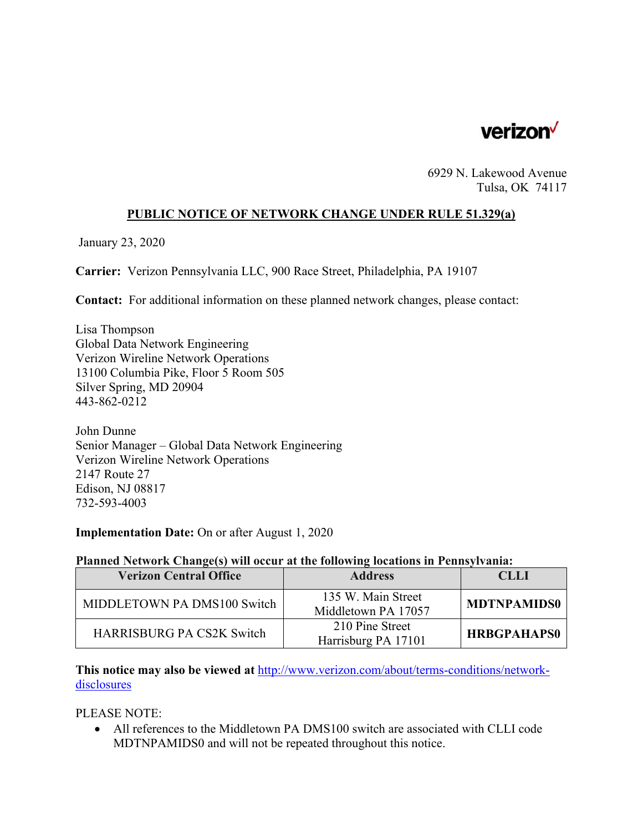

6929 N. Lakewood Avenue Tulsa, OK 74117

## **PUBLIC NOTICE OF NETWORK CHANGE UNDER RULE 51.329(a)**

January 23, 2020

**Carrier:** Verizon Pennsylvania LLC, 900 Race Street, Philadelphia, PA 19107

**Contact:** For additional information on these planned network changes, please contact:

Lisa Thompson Global Data Network Engineering Verizon Wireline Network Operations 13100 Columbia Pike, Floor 5 Room 505 Silver Spring, MD 20904 443-862-0212

John Dunne Senior Manager – Global Data Network Engineering Verizon Wireline Network Operations 2147 Route 27 Edison, NJ 08817 732-593-4003

**Implementation Date:** On or after August 1, 2020

## **Planned Network Change(s) will occur at the following locations in Pennsylvania:**

| <b>Verizon Central Office</b>    | <b>Address</b>                            | <b>CLLI</b>        |
|----------------------------------|-------------------------------------------|--------------------|
| MIDDLETOWN PA DMS100 Switch      | 135 W. Main Street<br>Middletown PA 17057 | <b>MDTNPAMIDS0</b> |
| <b>HARRISBURG PA CS2K Switch</b> | 210 Pine Street<br>Harrisburg PA 17101    | <b>HRBGPAHAPS0</b> |

**This notice may also be viewed at** http://www.verizon.com/about/terms-conditions/networkdisclosures

PLEASE NOTE:

 All references to the Middletown PA DMS100 switch are associated with CLLI code MDTNPAMIDS0 and will not be repeated throughout this notice.